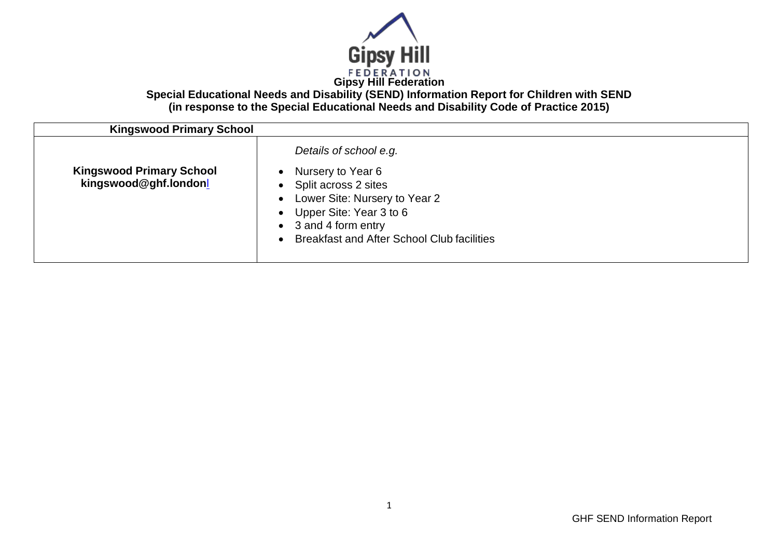

**Special Educational Needs and Disability (SEND) Information Report for Children with SEND (in response to the Special Educational Needs and Disability Code of Practice 2015)**

| <b>Kingswood Primary School</b>                          |                                                                                                                                                                      |
|----------------------------------------------------------|----------------------------------------------------------------------------------------------------------------------------------------------------------------------|
| <b>Kingswood Primary School</b><br>kingswood@ghf.londonl | Details of school e.g.<br>Nursery to Year 6<br>Split across 2 sites<br>$\bullet$<br>Lower Site: Nursery to Year 2<br>Upper Site: Year 3 to 6<br>• 3 and 4 form entry |
|                                                          | <b>Breakfast and After School Club facilities</b>                                                                                                                    |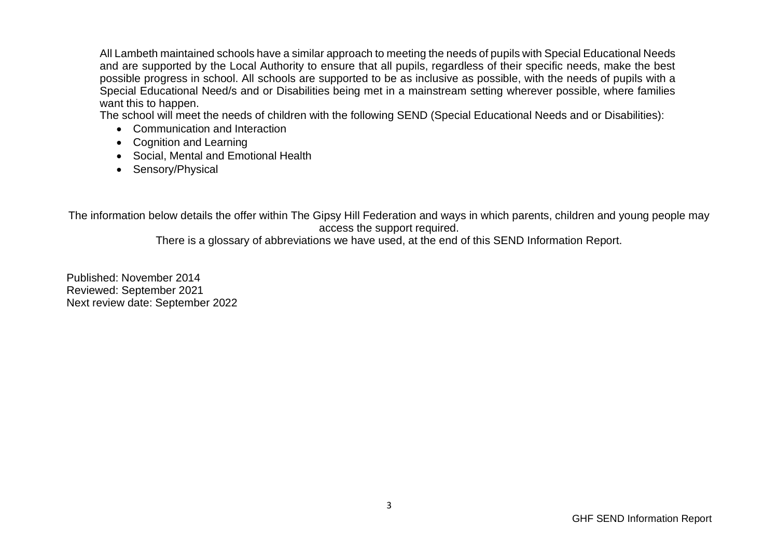All Lambeth maintained schools have a similar approach to meeting the needs of pupils with Special Educational Needs and are supported by the Local Authority to ensure that all pupils, regardless of their specific needs, make the best possible progress in school. All schools are supported to be as inclusive as possible, with the needs of pupils with a Special Educational Need/s and or Disabilities being met in a mainstream setting wherever possible, where families want this to happen.

The school will meet the needs of children with the following SEND (Special Educational Needs and or Disabilities):

- Communication and Interaction
- Cognition and Learning
- Social, Mental and Emotional Health
- Sensory/Physical

The information below details the offer within The Gipsy Hill Federation and ways in which parents, children and young people may access the support required.

There is a glossary of abbreviations we have used, at the end of this SEND Information Report.

Published: November 2014 Reviewed: September 2021 Next review date: September 2022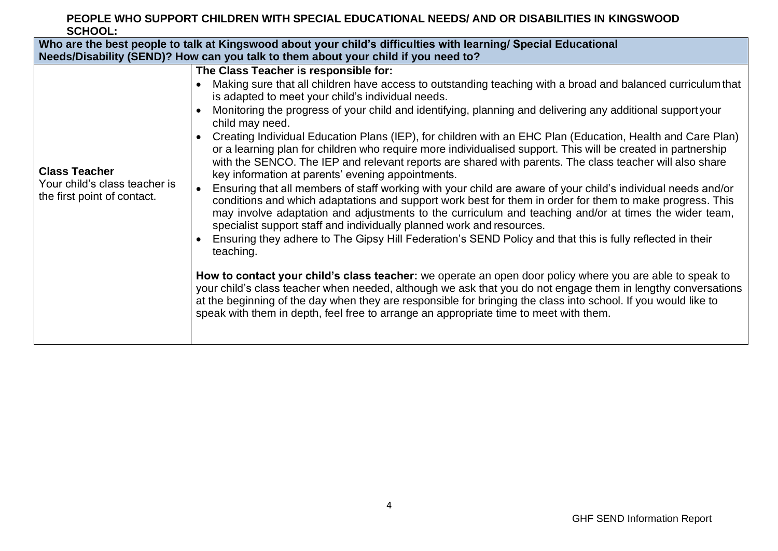### **PEOPLE WHO SUPPORT CHILDREN WITH SPECIAL EDUCATIONAL NEEDS/ AND OR DISABILITIES IN KINGSWOOD SCHOOL:**

| Who are the best people to talk at Kingswood about your child's difficulties with learning/ Special Educational |                                                                                                                                                                                                                                                                                                                                                                                                                                                                                                                                                                                                                                                                                                                                                                                                                                                                                                                                                                                                                                                                                                                                                                                                                                                                                                                                                                                                                                                                                                                                                                                                                                                                                                                                      |  |
|-----------------------------------------------------------------------------------------------------------------|--------------------------------------------------------------------------------------------------------------------------------------------------------------------------------------------------------------------------------------------------------------------------------------------------------------------------------------------------------------------------------------------------------------------------------------------------------------------------------------------------------------------------------------------------------------------------------------------------------------------------------------------------------------------------------------------------------------------------------------------------------------------------------------------------------------------------------------------------------------------------------------------------------------------------------------------------------------------------------------------------------------------------------------------------------------------------------------------------------------------------------------------------------------------------------------------------------------------------------------------------------------------------------------------------------------------------------------------------------------------------------------------------------------------------------------------------------------------------------------------------------------------------------------------------------------------------------------------------------------------------------------------------------------------------------------------------------------------------------------|--|
|                                                                                                                 | Needs/Disability (SEND)? How can you talk to them about your child if you need to?                                                                                                                                                                                                                                                                                                                                                                                                                                                                                                                                                                                                                                                                                                                                                                                                                                                                                                                                                                                                                                                                                                                                                                                                                                                                                                                                                                                                                                                                                                                                                                                                                                                   |  |
| <b>Class Teacher</b><br>Your child's class teacher is<br>the first point of contact.                            | The Class Teacher is responsible for:<br>Making sure that all children have access to outstanding teaching with a broad and balanced curriculum that<br>is adapted to meet your child's individual needs.<br>Monitoring the progress of your child and identifying, planning and delivering any additional support your<br>child may need.<br>Creating Individual Education Plans (IEP), for children with an EHC Plan (Education, Health and Care Plan)<br>$\bullet$<br>or a learning plan for children who require more individualised support. This will be created in partnership<br>with the SENCO. The IEP and relevant reports are shared with parents. The class teacher will also share<br>key information at parents' evening appointments.<br>Ensuring that all members of staff working with your child are aware of your child's individual needs and/or<br>conditions and which adaptations and support work best for them in order for them to make progress. This<br>may involve adaptation and adjustments to the curriculum and teaching and/or at times the wider team,<br>specialist support staff and individually planned work and resources.<br>Ensuring they adhere to The Gipsy Hill Federation's SEND Policy and that this is fully reflected in their<br>teaching.<br>How to contact your child's class teacher: we operate an open door policy where you are able to speak to<br>your child's class teacher when needed, although we ask that you do not engage them in lengthy conversations<br>at the beginning of the day when they are responsible for bringing the class into school. If you would like to<br>speak with them in depth, feel free to arrange an appropriate time to meet with them. |  |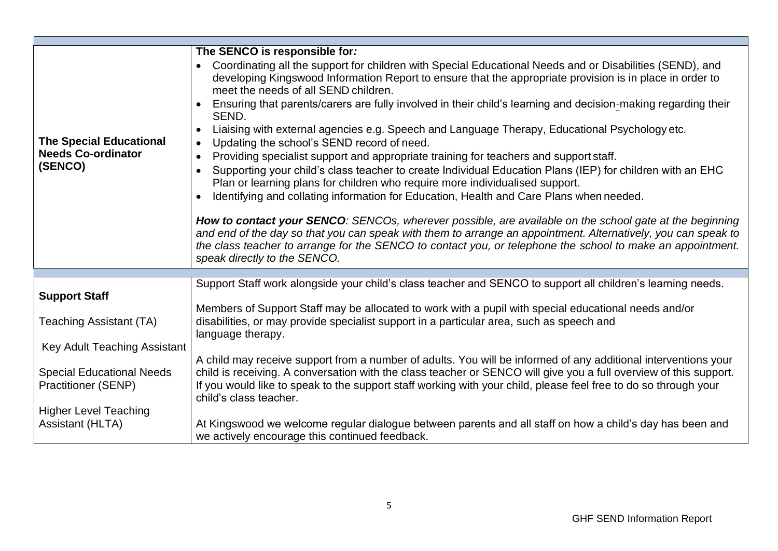| <b>The Special Educational</b><br><b>Needs Co-ordinator</b><br>(SENCO) | The SENCO is responsible for:<br>Coordinating all the support for children with Special Educational Needs and or Disabilities (SEND), and<br>developing Kingswood Information Report to ensure that the appropriate provision is in place in order to<br>meet the needs of all SEND children.<br>Ensuring that parents/carers are fully involved in their child's learning and decision-making regarding their<br>SEND.<br>Liaising with external agencies e.g. Speech and Language Therapy, Educational Psychology etc.<br>$\bullet$<br>Updating the school's SEND record of need.<br>$\bullet$<br>Providing specialist support and appropriate training for teachers and support staff.<br>$\bullet$<br>Supporting your child's class teacher to create Individual Education Plans (IEP) for children with an EHC<br>Plan or learning plans for children who require more individualised support.<br>Identifying and collating information for Education, Health and Care Plans when needed.<br>$\bullet$<br>How to contact your SENCO: SENCOs, wherever possible, are available on the school gate at the beginning<br>and end of the day so that you can speak with them to arrange an appointment. Alternatively, you can speak to<br>the class teacher to arrange for the SENCO to contact you, or telephone the school to make an appointment.<br>speak directly to the SENCO. |
|------------------------------------------------------------------------|---------------------------------------------------------------------------------------------------------------------------------------------------------------------------------------------------------------------------------------------------------------------------------------------------------------------------------------------------------------------------------------------------------------------------------------------------------------------------------------------------------------------------------------------------------------------------------------------------------------------------------------------------------------------------------------------------------------------------------------------------------------------------------------------------------------------------------------------------------------------------------------------------------------------------------------------------------------------------------------------------------------------------------------------------------------------------------------------------------------------------------------------------------------------------------------------------------------------------------------------------------------------------------------------------------------------------------------------------------------------------------------|
|                                                                        |                                                                                                                                                                                                                                                                                                                                                                                                                                                                                                                                                                                                                                                                                                                                                                                                                                                                                                                                                                                                                                                                                                                                                                                                                                                                                                                                                                                       |
| <b>Support Staff</b>                                                   | Support Staff work alongside your child's class teacher and SENCO to support all children's learning needs.                                                                                                                                                                                                                                                                                                                                                                                                                                                                                                                                                                                                                                                                                                                                                                                                                                                                                                                                                                                                                                                                                                                                                                                                                                                                           |
| <b>Teaching Assistant (TA)</b>                                         | Members of Support Staff may be allocated to work with a pupil with special educational needs and/or<br>disabilities, or may provide specialist support in a particular area, such as speech and<br>language therapy.                                                                                                                                                                                                                                                                                                                                                                                                                                                                                                                                                                                                                                                                                                                                                                                                                                                                                                                                                                                                                                                                                                                                                                 |
| Key Adult Teaching Assistant                                           |                                                                                                                                                                                                                                                                                                                                                                                                                                                                                                                                                                                                                                                                                                                                                                                                                                                                                                                                                                                                                                                                                                                                                                                                                                                                                                                                                                                       |
| <b>Special Educational Needs</b><br><b>Practitioner (SENP)</b>         | A child may receive support from a number of adults. You will be informed of any additional interventions your<br>child is receiving. A conversation with the class teacher or SENCO will give you a full overview of this support.<br>If you would like to speak to the support staff working with your child, please feel free to do so through your<br>child's class teacher.                                                                                                                                                                                                                                                                                                                                                                                                                                                                                                                                                                                                                                                                                                                                                                                                                                                                                                                                                                                                      |
| <b>Higher Level Teaching</b>                                           |                                                                                                                                                                                                                                                                                                                                                                                                                                                                                                                                                                                                                                                                                                                                                                                                                                                                                                                                                                                                                                                                                                                                                                                                                                                                                                                                                                                       |
| <b>Assistant (HLTA)</b>                                                | At Kingswood we welcome regular dialogue between parents and all staff on how a child's day has been and<br>we actively encourage this continued feedback.                                                                                                                                                                                                                                                                                                                                                                                                                                                                                                                                                                                                                                                                                                                                                                                                                                                                                                                                                                                                                                                                                                                                                                                                                            |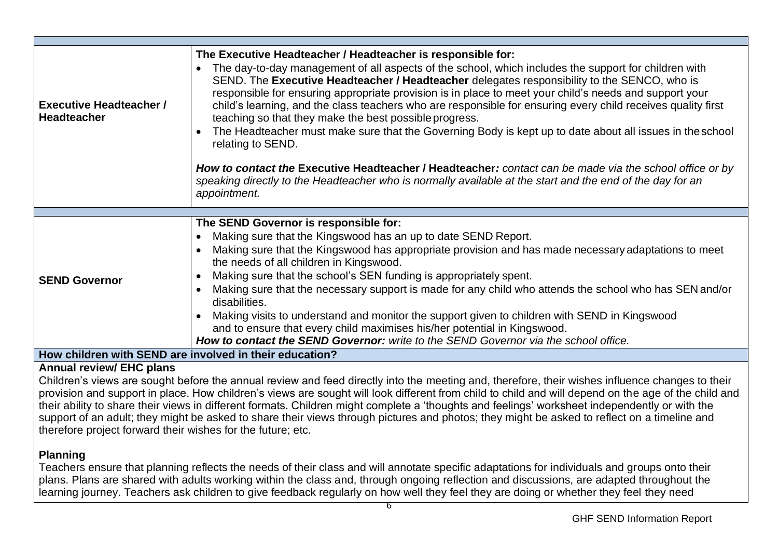| <b>Executive Headteacher /</b><br><b>Headteacher</b> | The Executive Headteacher / Headteacher is responsible for:<br>The day-to-day management of all aspects of the school, which includes the support for children with<br>SEND. The Executive Headteacher / Headteacher delegates responsibility to the SENCO, who is<br>responsible for ensuring appropriate provision is in place to meet your child's needs and support your<br>child's learning, and the class teachers who are responsible for ensuring every child receives quality first<br>teaching so that they make the best possible progress.<br>The Headteacher must make sure that the Governing Body is kept up to date about all issues in the school<br>relating to SEND.<br>How to contact the Executive Headteacher / Headteacher: contact can be made via the school office or by<br>speaking directly to the Headteacher who is normally available at the start and the end of the day for an<br>appointment. |
|------------------------------------------------------|---------------------------------------------------------------------------------------------------------------------------------------------------------------------------------------------------------------------------------------------------------------------------------------------------------------------------------------------------------------------------------------------------------------------------------------------------------------------------------------------------------------------------------------------------------------------------------------------------------------------------------------------------------------------------------------------------------------------------------------------------------------------------------------------------------------------------------------------------------------------------------------------------------------------------------|
|                                                      |                                                                                                                                                                                                                                                                                                                                                                                                                                                                                                                                                                                                                                                                                                                                                                                                                                                                                                                                 |
| <b>SEND Governor</b><br>.<br>$\mathbf{A}$            | The SEND Governor is responsible for:<br>Making sure that the Kingswood has an up to date SEND Report.<br>Making sure that the Kingswood has appropriate provision and has made necessary adaptations to meet<br>the needs of all children in Kingswood.<br>Making sure that the school's SEN funding is appropriately spent.<br>Making sure that the necessary support is made for any child who attends the school who has SEN and/or<br>disabilities.<br>Making visits to understand and monitor the support given to children with SEND in Kingswood<br>and to ensure that every child maximises his/her potential in Kingswood.<br>How to contact the SEND Governor: write to the SEND Governor via the school office.                                                                                                                                                                                                     |

**How children with SEND are involved in their education?**

# **Annual review/ EHC plans**

Children's views are sought before the annual review and feed directly into the meeting and, therefore, their wishes influence changes to their provision and support in place. How children's views are sought will look different from child to child and will depend on the age of the child and their ability to share their views in different formats. Children might complete a 'thoughts and feelings' worksheet independently or with the support of an adult; they might be asked to share their views through pictures and photos; they might be asked to reflect on a timeline and therefore project forward their wishes for the future; etc.

# **Planning**

Teachers ensure that planning reflects the needs of their class and will annotate specific adaptations for individuals and groups onto their plans. Plans are shared with adults working within the class and, through ongoing reflection and discussions, are adapted throughout the learning journey. Teachers ask children to give feedback regularly on how well they feel they are doing or whether they feel they need

6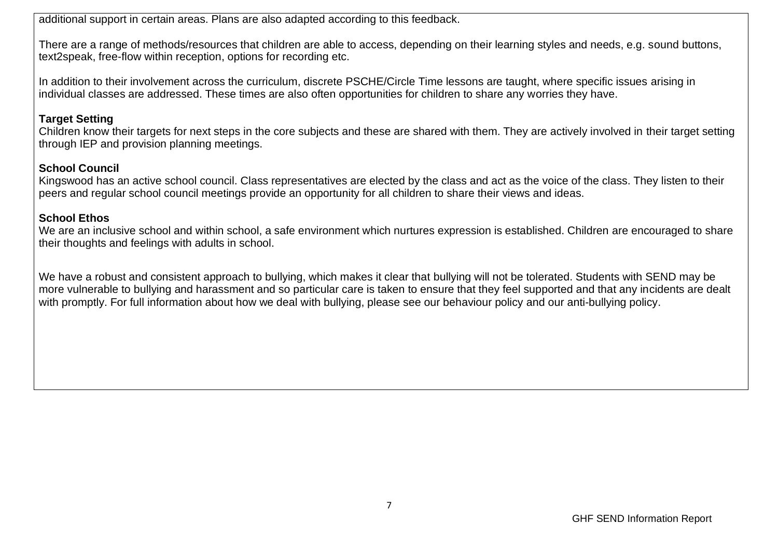additional support in certain areas. Plans are also adapted according to this feedback.

There are a range of methods/resources that children are able to access, depending on their learning styles and needs, e.g. sound buttons, text2speak, free-flow within reception, options for recording etc.

In addition to their involvement across the curriculum, discrete PSCHE/Circle Time lessons are taught, where specific issues arising in individual classes are addressed. These times are also often opportunities for children to share any worries they have.

#### **Target Setting**

Children know their targets for next steps in the core subjects and these are shared with them. They are actively involved in their target setting through IEP and provision planning meetings.

## **School Council**

Kingswood has an active school council. Class representatives are elected by the class and act as the voice of the class. They listen to their peers and regular school council meetings provide an opportunity for all children to share their views and ideas.

### **School Ethos**

We are an inclusive school and within school, a safe environment which nurtures expression is established. Children are encouraged to share their thoughts and feelings with adults in school.

We have a robust and consistent approach to bullying, which makes it clear that bullying will not be tolerated. Students with SEND may be more vulnerable to bullying and harassment and so particular care is taken to ensure that they feel supported and that any incidents are dealt with promptly. For full information about how we deal with bullying, please see our behaviour policy and our anti-bullying policy.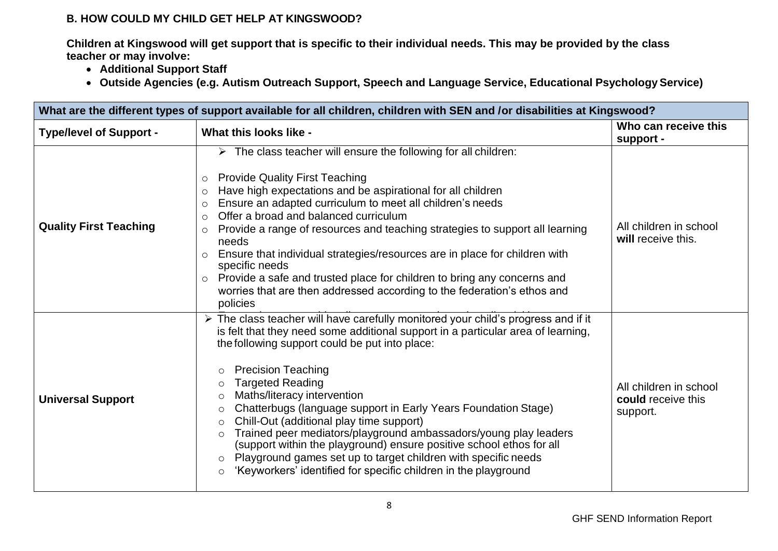## **B. HOW COULD MY CHILD GET HELP AT KINGSWOOD?**

**Children at Kingswood will get support that is specific to their individual needs. This may be provided by the class teacher or may involve:**

- **Additional Support Staff**
- **Outside Agencies (e.g. Autism Outreach Support, Speech and Language Service, Educational Psychology Service)**

| What are the different types of support available for all children, children with SEN and /or disabilities at Kingswood? |                                                                                                                                                                                                                                                                                                                                                                                                                                                                                                                                                                                                                                                                                                                                                                                                       |                                                          |
|--------------------------------------------------------------------------------------------------------------------------|-------------------------------------------------------------------------------------------------------------------------------------------------------------------------------------------------------------------------------------------------------------------------------------------------------------------------------------------------------------------------------------------------------------------------------------------------------------------------------------------------------------------------------------------------------------------------------------------------------------------------------------------------------------------------------------------------------------------------------------------------------------------------------------------------------|----------------------------------------------------------|
| <b>Type/level of Support -</b>                                                                                           | What this looks like -                                                                                                                                                                                                                                                                                                                                                                                                                                                                                                                                                                                                                                                                                                                                                                                | Who can receive this<br>support -                        |
| <b>Quality First Teaching</b>                                                                                            | $\triangleright$ The class teacher will ensure the following for all children:<br>o Provide Quality First Teaching<br>Have high expectations and be aspirational for all children<br>Ensure an adapted curriculum to meet all children's needs<br>$\circ$<br>Offer a broad and balanced curriculum<br>$\circ$<br>Provide a range of resources and teaching strategies to support all learning<br>$\circ$<br>needs<br>Ensure that individual strategies/resources are in place for children with<br>$\circ$<br>specific needs<br>o Provide a safe and trusted place for children to bring any concerns and<br>worries that are then addressed according to the federation's ethos and<br>policies                                                                                                      | All children in school<br>will receive this.             |
| <b>Universal Support</b>                                                                                                 | > The class teacher will have carefully monitored your child's progress and if it<br>is felt that they need some additional support in a particular area of learning,<br>the following support could be put into place:<br><b>Precision Teaching</b><br>$\circ$<br><b>Targeted Reading</b><br>$\circ$<br>Maths/literacy intervention<br>$\circ$<br>Chatterbugs (language support in Early Years Foundation Stage)<br>$\circ$<br>Chill-Out (additional play time support)<br>$\circ$<br>Trained peer mediators/playground ambassadors/young play leaders<br>$\circ$<br>(support within the playground) ensure positive school ethos for all<br>Playground games set up to target children with specific needs<br>$\circ$<br>'Keyworkers' identified for specific children in the playground<br>$\circ$ | All children in school<br>could receive this<br>support. |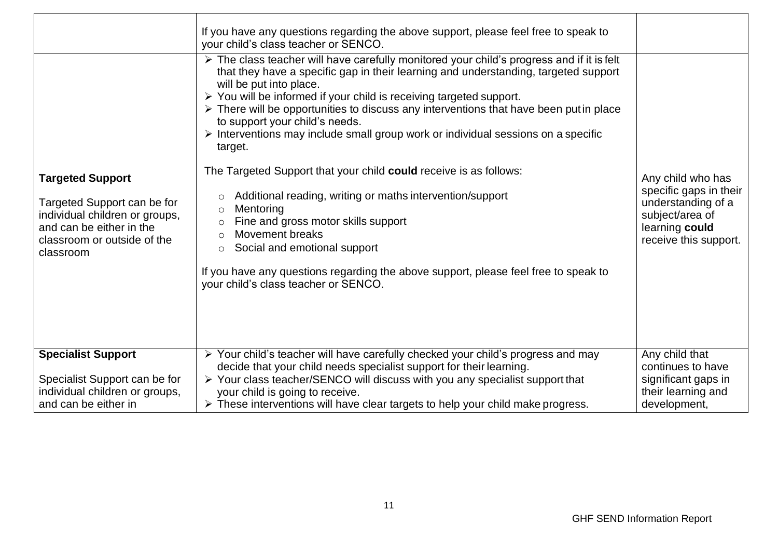|                                                                                                                                                                  | If you have any questions regarding the above support, please feel free to speak to<br>your child's class teacher or SENCO.                                                                                                                                                                                                                                                                                                                                                                                                                                                                                                                                                                                                                                                                                                                                                                                                                                         |                                                                                                                                 |
|------------------------------------------------------------------------------------------------------------------------------------------------------------------|---------------------------------------------------------------------------------------------------------------------------------------------------------------------------------------------------------------------------------------------------------------------------------------------------------------------------------------------------------------------------------------------------------------------------------------------------------------------------------------------------------------------------------------------------------------------------------------------------------------------------------------------------------------------------------------------------------------------------------------------------------------------------------------------------------------------------------------------------------------------------------------------------------------------------------------------------------------------|---------------------------------------------------------------------------------------------------------------------------------|
| <b>Targeted Support</b><br>Targeted Support can be for<br>individual children or groups,<br>and can be either in the<br>classroom or outside of the<br>classroom | > The class teacher will have carefully monitored your child's progress and if it is felt<br>that they have a specific gap in their learning and understanding, targeted support<br>will be put into place.<br>> You will be informed if your child is receiving targeted support.<br>$\triangleright$ There will be opportunities to discuss any interventions that have been put in place<br>to support your child's needs.<br>> Interventions may include small group work or individual sessions on a specific<br>target.<br>The Targeted Support that your child could receive is as follows:<br>Additional reading, writing or maths intervention/support<br>$\circ$<br>Mentoring<br>$\circ$<br>Fine and gross motor skills support<br>$\circ$<br><b>Movement breaks</b><br>$\circ$<br>Social and emotional support<br>$\circ$<br>If you have any questions regarding the above support, please feel free to speak to<br>your child's class teacher or SENCO. | Any child who has<br>specific gaps in their<br>understanding of a<br>subject/area of<br>learning could<br>receive this support. |
| <b>Specialist Support</b><br>Specialist Support can be for<br>individual children or groups,<br>and can be either in                                             | > Your child's teacher will have carefully checked your child's progress and may<br>decide that your child needs specialist support for their learning.<br>> Your class teacher/SENCO will discuss with you any specialist support that<br>your child is going to receive.<br>$\triangleright$ These interventions will have clear targets to help your child make progress.                                                                                                                                                                                                                                                                                                                                                                                                                                                                                                                                                                                        | Any child that<br>continues to have<br>significant gaps in<br>their learning and<br>development,                                |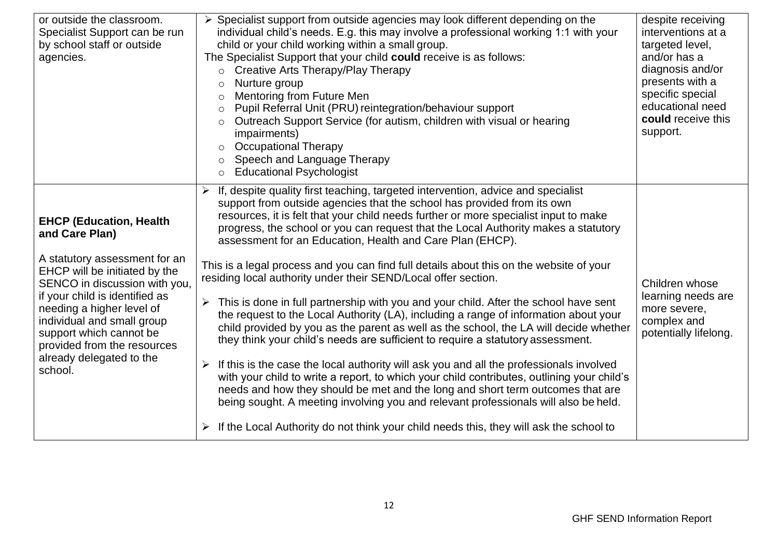| or outside the classroom.<br>Specialist Support can be run<br>by school staff or outside<br>agencies.                                                                                                                                                                                                                                             | > Specialist support from outside agencies may look different depending on the<br>individual child's needs. E.g. this may involve a professional working 1:1 with your<br>child or your child working within a small group.<br>The Specialist Support that your child could receive is as follows:<br>Creative Arts Therapy/Play Therapy<br>$\circ$<br>Nurture group<br>$\circ$<br>Mentoring from Future Men<br>$\circ$<br>Pupil Referral Unit (PRU) reintegration/behaviour support<br>$\circ$<br>Outreach Support Service (for autism, children with visual or hearing<br>$\circ$<br>impairments)<br><b>Occupational Therapy</b><br>$\circ$<br>Speech and Language Therapy<br>$\circ$<br><b>Educational Psychologist</b><br>$\circ$                                                                                                                                                                                                                                                                                                                                                                                                                                                                                                                                                                                                                                                                                                                                   | despite receiving<br>interventions at a<br>targeted level,<br>and/or has a<br>diagnosis and/or<br>presents with a<br>specific special<br>educational need<br>could receive this<br>support. |
|---------------------------------------------------------------------------------------------------------------------------------------------------------------------------------------------------------------------------------------------------------------------------------------------------------------------------------------------------|-------------------------------------------------------------------------------------------------------------------------------------------------------------------------------------------------------------------------------------------------------------------------------------------------------------------------------------------------------------------------------------------------------------------------------------------------------------------------------------------------------------------------------------------------------------------------------------------------------------------------------------------------------------------------------------------------------------------------------------------------------------------------------------------------------------------------------------------------------------------------------------------------------------------------------------------------------------------------------------------------------------------------------------------------------------------------------------------------------------------------------------------------------------------------------------------------------------------------------------------------------------------------------------------------------------------------------------------------------------------------------------------------------------------------------------------------------------------------|---------------------------------------------------------------------------------------------------------------------------------------------------------------------------------------------|
| <b>EHCP (Education, Health</b><br>and Care Plan)<br>A statutory assessment for an<br>EHCP will be initiated by the<br>SENCO in discussion with you,<br>if your child is identified as<br>needing a higher level of<br>individual and small group<br>support which cannot be<br>provided from the resources<br>already delegated to the<br>school. | $\triangleright$ If, despite quality first teaching, targeted intervention, advice and specialist<br>support from outside agencies that the school has provided from its own<br>resources, it is felt that your child needs further or more specialist input to make<br>progress, the school or you can request that the Local Authority makes a statutory<br>assessment for an Education, Health and Care Plan (EHCP).<br>This is a legal process and you can find full details about this on the website of your<br>residing local authority under their SEND/Local offer section.<br>This is done in full partnership with you and your child. After the school have sent<br>$\blacktriangleright$<br>the request to the Local Authority (LA), including a range of information about your<br>child provided by you as the parent as well as the school, the LA will decide whether<br>they think your child's needs are sufficient to require a statutory assessment.<br>$\triangleright$ If this is the case the local authority will ask you and all the professionals involved<br>with your child to write a report, to which your child contributes, outlining your child's<br>needs and how they should be met and the long and short term outcomes that are<br>being sought. A meeting involving you and relevant professionals will also be held.<br>$\triangleright$ If the Local Authority do not think your child needs this, they will ask the school to | Children whose<br>learning needs are<br>more severe,<br>complex and<br>potentially lifelong.                                                                                                |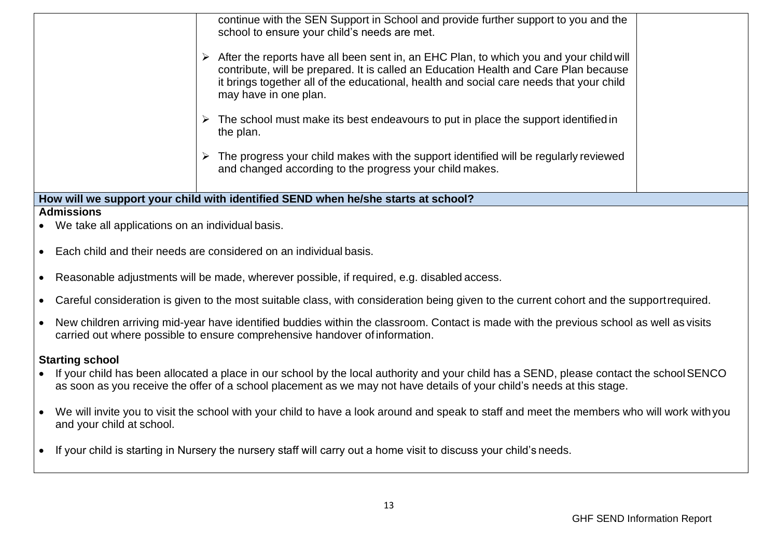|                                                                                   | continue with the SEN Support in School and provide further support to you and the<br>school to ensure your child's needs are met.<br>$\triangleright$ After the reports have all been sent in, an EHC Plan, to which you and your child will<br>contribute, will be prepared. It is called an Education Health and Care Plan because<br>it brings together all of the educational, health and social care needs that your child<br>may have in one plan.<br>$\triangleright$ The school must make its best endeavours to put in place the support identified in<br>the plan.<br>$\triangleright$ The progress your child makes with the support identified will be regularly reviewed<br>and changed according to the progress your child makes. |  |
|-----------------------------------------------------------------------------------|---------------------------------------------------------------------------------------------------------------------------------------------------------------------------------------------------------------------------------------------------------------------------------------------------------------------------------------------------------------------------------------------------------------------------------------------------------------------------------------------------------------------------------------------------------------------------------------------------------------------------------------------------------------------------------------------------------------------------------------------------|--|
| How will we support your child with identified SEND when he/she starts at school? |                                                                                                                                                                                                                                                                                                                                                                                                                                                                                                                                                                                                                                                                                                                                                   |  |
| <b>Admissions</b>                                                                 |                                                                                                                                                                                                                                                                                                                                                                                                                                                                                                                                                                                                                                                                                                                                                   |  |
| We take all applications on an individual basis.                                  |                                                                                                                                                                                                                                                                                                                                                                                                                                                                                                                                                                                                                                                                                                                                                   |  |

- Each child and their needs are considered on an individual basis.
- Reasonable adjustments will be made, wherever possible, if required, e.g. disabled access.
- Careful consideration is given to the most suitable class, with consideration being given to the current cohort and the supportrequired.
- New children arriving mid-year have identified buddies within the classroom. Contact is made with the previous school as well as visits carried out where possible to ensure comprehensive handover of information.

#### **Starting school**

- If your child has been allocated a place in our school by the local authority and your child has a SEND, please contact the school SENCO as soon as you receive the offer of a school placement as we may not have details of your child's needs at this stage.
- We will invite you to visit the school with your child to have a look around and speak to staff and meet the members who will work withyou and your child at school.
- If your child is starting in Nursery the nursery staff will carry out a home visit to discuss your child's needs.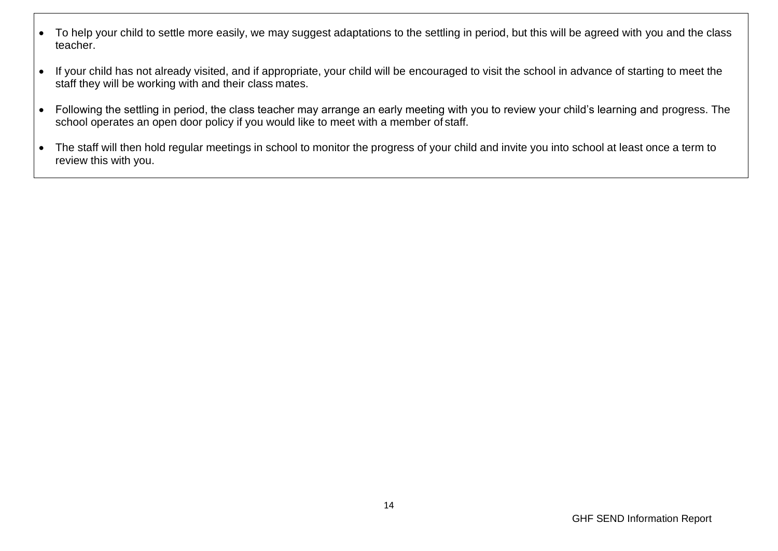- To help your child to settle more easily, we may suggest adaptations to the settling in period, but this will be agreed with you and the class teacher.
- If your child has not already visited, and if appropriate, your child will be encouraged to visit the school in advance of starting to meet the staff they will be working with and their class mates.
- Following the settling in period, the class teacher may arrange an early meeting with you to review your child's learning and progress. The school operates an open door policy if you would like to meet with a member of staff.
- The staff will then hold regular meetings in school to monitor the progress of your child and invite you into school at least once a term to review this with you.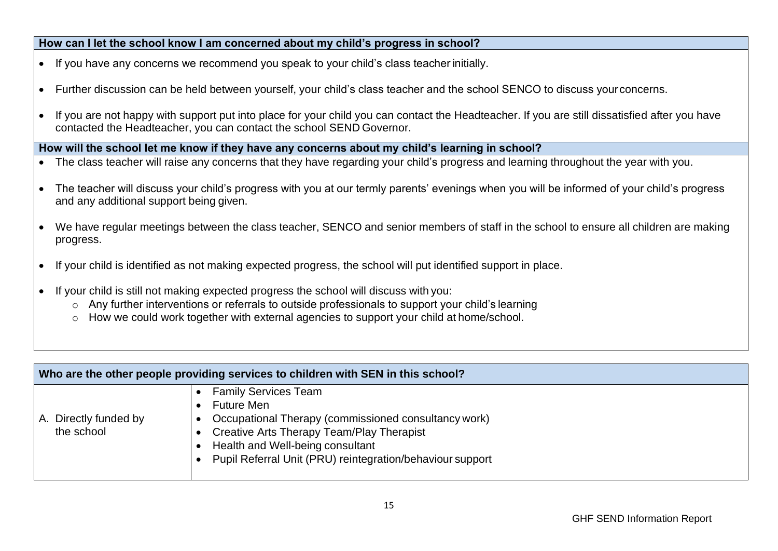#### **How can I let the school know I am concerned about my child's progress in school?**

- If you have any concerns we recommend you speak to your child's class teacher initially.
- Further discussion can be held between yourself, your child's class teacher and the school SENCO to discuss yourconcerns.
- If you are not happy with support put into place for your child you can contact the Headteacher. If you are still dissatisfied after you have contacted the Headteacher, you can contact the school SEND Governor.

**How will the school let me know if they have any concerns about my child's learning in school?**

- The class teacher will raise any concerns that they have regarding your child's progress and learning throughout the year with you.
- The teacher will discuss your child's progress with you at our termly parents' evenings when you will be informed of your child's progress and any additional support being given.
- We have regular meetings between the class teacher, SENCO and senior members of staff in the school to ensure all children are making progress.
- If your child is identified as not making expected progress, the school will put identified support in place.
- If your child is still not making expected progress the school will discuss with you:
	- o Any further interventions or referrals to outside professionals to support your child's learning
	- o How we could work together with external agencies to support your child at home/school.

| Who are the other people providing services to children with SEN in this school? |                                                                                                                                                                                                                                                        |
|----------------------------------------------------------------------------------|--------------------------------------------------------------------------------------------------------------------------------------------------------------------------------------------------------------------------------------------------------|
| A. Directly funded by<br>the school                                              | <b>Family Services Team</b><br><b>Future Men</b><br>Occupational Therapy (commissioned consultancy work)<br>Creative Arts Therapy Team/Play Therapist<br>Health and Well-being consultant<br>Pupil Referral Unit (PRU) reintegration/behaviour support |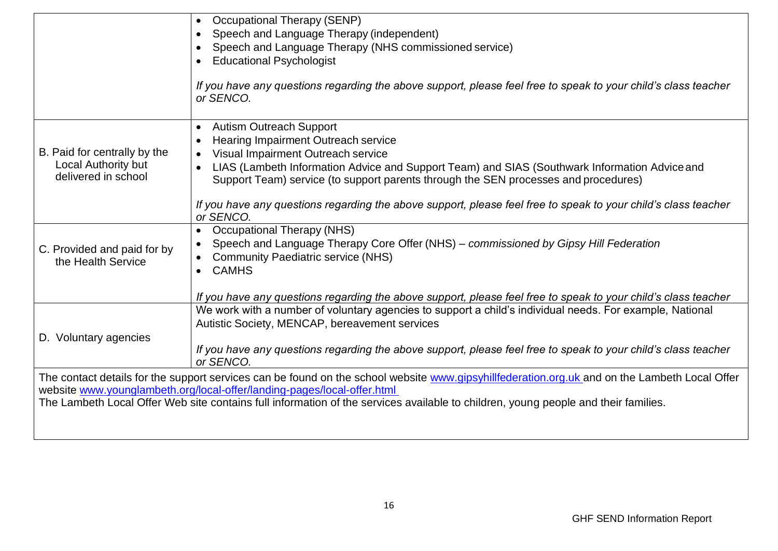|                              | <b>Occupational Therapy (SENP)</b>                                                                                                            |
|------------------------------|-----------------------------------------------------------------------------------------------------------------------------------------------|
|                              | Speech and Language Therapy (independent)                                                                                                     |
|                              | Speech and Language Therapy (NHS commissioned service)                                                                                        |
|                              | <b>Educational Psychologist</b>                                                                                                               |
|                              |                                                                                                                                               |
|                              | If you have any questions regarding the above support, please feel free to speak to your child's class teacher<br>or SENCO.                   |
|                              | <b>Autism Outreach Support</b><br>$\bullet$                                                                                                   |
|                              | <b>Hearing Impairment Outreach service</b>                                                                                                    |
| B. Paid for centrally by the | Visual Impairment Outreach service                                                                                                            |
| <b>Local Authority but</b>   | LIAS (Lambeth Information Advice and Support Team) and SIAS (Southwark Information Advice and                                                 |
| delivered in school          | Support Team) service (to support parents through the SEN processes and procedures)                                                           |
|                              |                                                                                                                                               |
|                              | If you have any questions regarding the above support, please feel free to speak to your child's class teacher                                |
|                              | or SENCO.                                                                                                                                     |
|                              | <b>Occupational Therapy (NHS)</b>                                                                                                             |
| C. Provided and paid for by  | Speech and Language Therapy Core Offer (NHS) – commissioned by Gipsy Hill Federation                                                          |
| the Health Service           | <b>Community Paediatric service (NHS)</b>                                                                                                     |
|                              | <b>CAMHS</b><br>$\bullet$                                                                                                                     |
|                              |                                                                                                                                               |
|                              | If you have any questions regarding the above support, please feel free to speak to your child's class teacher                                |
|                              | We work with a number of voluntary agencies to support a child's individual needs. For example, National                                      |
|                              | Autistic Society, MENCAP, bereavement services                                                                                                |
| D. Voluntary agencies        |                                                                                                                                               |
|                              | If you have any questions regarding the above support, please feel free to speak to your child's class teacher                                |
|                              | or SENCO.                                                                                                                                     |
|                              | The contact details for the support services can be found on the school website www.gipsyhillfederation.org.uk and on the Lambeth Local Offer |
|                              | website www.younglambeth.org/local-offer/landing-pages/local-offer.html                                                                       |
|                              | The Lambeth Local Offer Web site contains full information of the services available to children, young people and their families.            |
|                              |                                                                                                                                               |
|                              |                                                                                                                                               |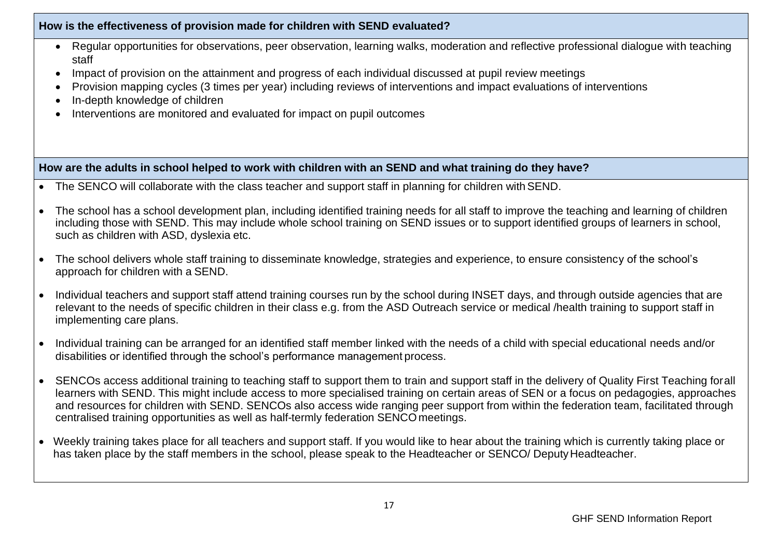#### **How is the effectiveness of provision made for children with SEND evaluated?**

- Regular opportunities for observations, peer observation, learning walks, moderation and reflective professional dialogue with teaching staff
- Impact of provision on the attainment and progress of each individual discussed at pupil review meetings
- Provision mapping cycles (3 times per year) including reviews of interventions and impact evaluations of interventions
- In-depth knowledge of children
- Interventions are monitored and evaluated for impact on pupil outcomes

**How are the adults in school helped to work with children with an SEND and what training do they have?**

- The SENCO will collaborate with the class teacher and support staff in planning for children with SEND.
- The school has a school development plan, including identified training needs for all staff to improve the teaching and learning of children including those with SEND. This may include whole school training on SEND issues or to support identified groups of learners in school, such as children with ASD, dyslexia etc.
- The school delivers whole staff training to disseminate knowledge, strategies and experience, to ensure consistency of the school's approach for children with a SEND.
- Individual teachers and support staff attend training courses run by the school during INSET days, and through outside agencies that are relevant to the needs of specific children in their class e.g. from the ASD Outreach service or medical /health training to support staff in implementing care plans.
- Individual training can be arranged for an identified staff member linked with the needs of a child with special educational needs and/or disabilities or identified through the school's performance management process.
- SENCOs access additional training to teaching staff to support them to train and support staff in the delivery of Quality First Teaching forall learners with SEND. This might include access to more specialised training on certain areas of SEN or a focus on pedagogies, approaches and resources for children with SEND. SENCOs also access wide ranging peer support from within the federation team, facilitated through centralised training opportunities as well as half-termly federation SENCO meetings.
- Weekly training takes place for all teachers and support staff. If you would like to hear about the training which is currently taking place or has taken place by the staff members in the school, please speak to the Headteacher or SENCO/ Deputy Headteacher.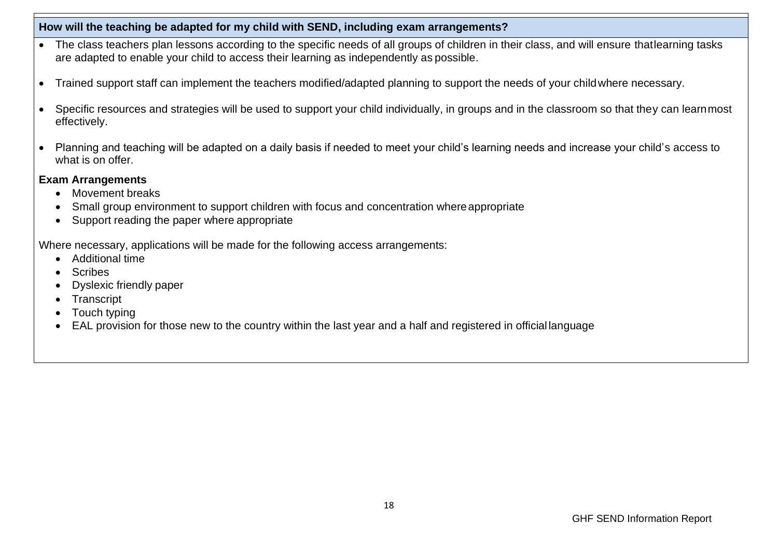### **How will the teaching be adapted for my child with SEND, including exam arrangements?**

- The class teachers plan lessons according to the specific needs of all groups of children in their class, and will ensure that learning tasks are adapted to enable your child to access their learning as independently as possible.
- Trained support staff can implement the teachers modified/adapted planning to support the needs of your childwhere necessary.
- Specific resources and strategies will be used to support your child individually, in groups and in the classroom so that they can learnmost effectively.
- Planning and teaching will be adapted on a daily basis if needed to meet your child's learning needs and increase your child's access to what is on offer.

#### **Exam Arrangements**

- Movement breaks
- Small group environment to support children with focus and concentration where appropriate
- Support reading the paper where appropriate

Where necessary, applications will be made for the following access arrangements:

- Additional time
- Scribes
- Dyslexic friendly paper
- Transcript
- Touch typing
- EAL provision for those new to the country within the last year and a half and registered in official language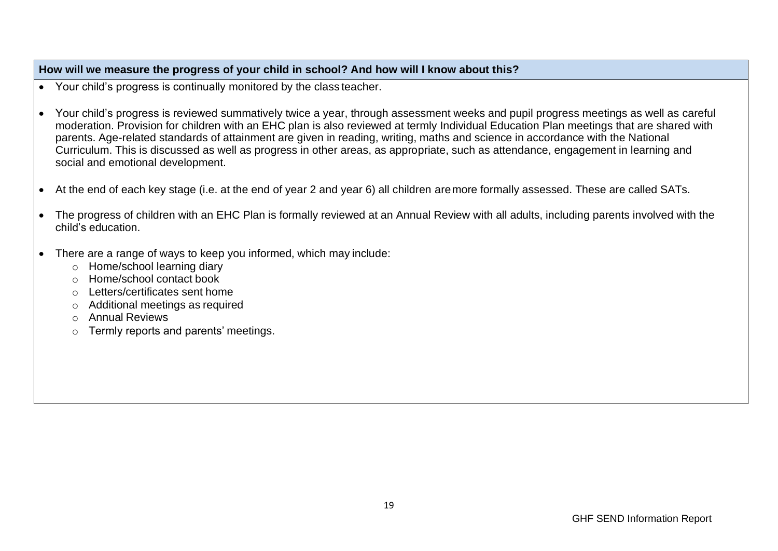### **How will we measure the progress of your child in school? And how will I know about this?**

- Your child's progress is continually monitored by the class teacher.
- Your child's progress is reviewed summatively twice a year, through assessment weeks and pupil progress meetings as well as careful moderation. Provision for children with an EHC plan is also reviewed at termly Individual Education Plan meetings that are shared with parents. Age-related standards of attainment are given in reading, writing, maths and science in accordance with the National Curriculum. This is discussed as well as progress in other areas, as appropriate, such as attendance, engagement in learning and social and emotional development.
- At the end of each key stage (i.e. at the end of year 2 and year 6) all children aremore formally assessed. These are called SATs.
- The progress of children with an EHC Plan is formally reviewed at an Annual Review with all adults, including parents involved with the child's education.
- There are a range of ways to keep you informed, which may include:
	- o Home/school learning diary
	- o Home/school contact book
	- o Letters/certificates sent home
	- o Additional meetings as required
	- o Annual Reviews
	- o Termly reports and parents' meetings.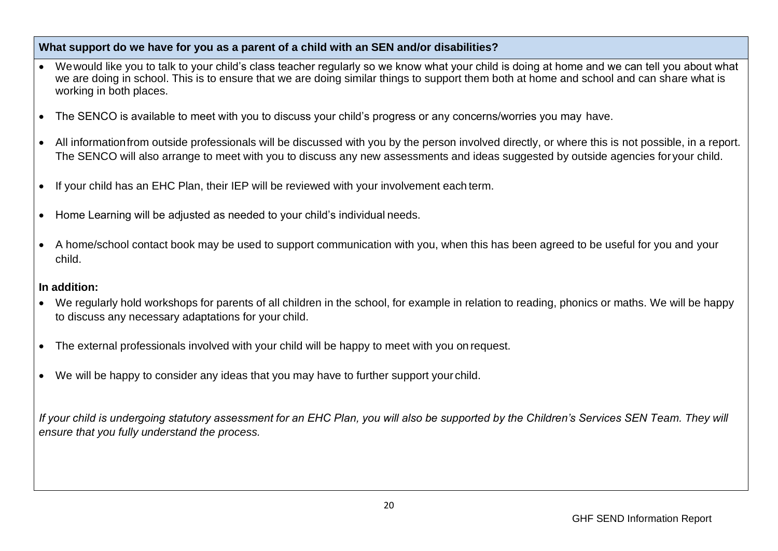#### **What support do we have for you as a parent of a child with an SEN and/or disabilities?**

- Wewould like you to talk to your child's class teacher regularly so we know what your child is doing at home and we can tell you about what we are doing in school. This is to ensure that we are doing similar things to support them both at home and school and can share what is working in both places.
- The SENCO is available to meet with you to discuss your child's progress or any concerns/worries you may have.
- All informationfrom outside professionals will be discussed with you by the person involved directly, or where this is not possible, in a report. The SENCO will also arrange to meet with you to discuss any new assessments and ideas suggested by outside agencies for your child.
- If your child has an EHC Plan, their IEP will be reviewed with your involvement each term.
- Home Learning will be adjusted as needed to your child's individual needs.
- A home/school contact book may be used to support communication with you, when this has been agreed to be useful for you and your child.

# **In addition:**

- We regularly hold workshops for parents of all children in the school, for example in relation to reading, phonics or maths. We will be happy to discuss any necessary adaptations for your child.
- The external professionals involved with your child will be happy to meet with you on request.
- We will be happy to consider any ideas that you may have to further support your child.

*If your child is undergoing statutory assessment for an EHC Plan, you will also be supported by the Children's Services SEN Team. They will ensure that you fully understand the process.*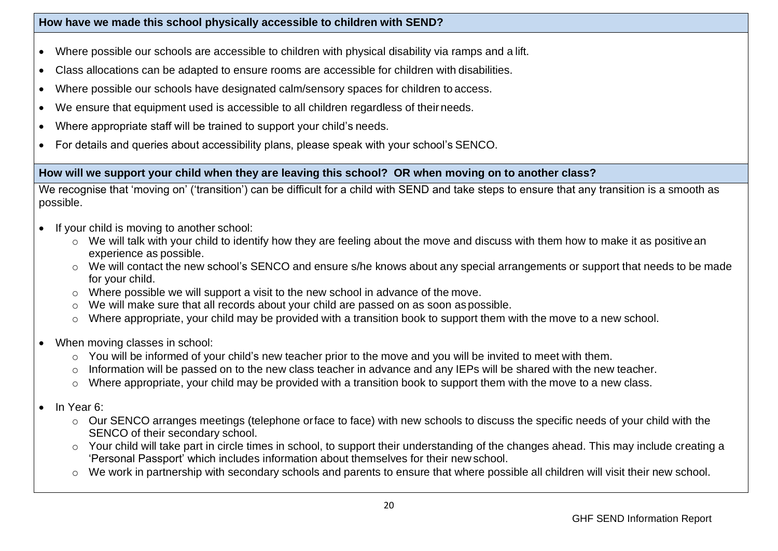### **How have we made this school physically accessible to children with SEND?**

- Where possible our schools are accessible to children with physical disability via ramps and a lift.
- Class allocations can be adapted to ensure rooms are accessible for children with disabilities.
- Where possible our schools have designated calm/sensory spaces for children to access.
- We ensure that equipment used is accessible to all children regardless of theirneeds.
- Where appropriate staff will be trained to support your child's needs.
- For details and queries about accessibility plans, please speak with your school's SENCO.

#### **How will we support your child when they are leaving this school? OR when moving on to another class?**

We recognise that 'moving on' ('transition') can be difficult for a child with SEND and take steps to ensure that any transition is a smooth as possible.

- If your child is moving to another school:
	- o We will talk with your child to identify how they are feeling about the move and discuss with them how to make it as positivean experience as possible.
	- o We will contact the new school's SENCO and ensure s/he knows about any special arrangements or support that needs to be made for your child.
	- o Where possible we will support a visit to the new school in advance of the move.
	- o We will make sure that all records about your child are passed on as soon aspossible.
	- o Where appropriate, your child may be provided with a transition book to support them with the move to a new school.
- When moving classes in school:
	- o You will be informed of your child's new teacher prior to the move and you will be invited to meet with them.
	- o Information will be passed on to the new class teacher in advance and any IEPs will be shared with the new teacher.
	- o Where appropriate, your child may be provided with a transition book to support them with the move to a new class.
- In Year 6:
	- o Our SENCO arranges meetings (telephone orface to face) with new schools to discuss the specific needs of your child with the SENCO of their secondary school.
	- o Your child will take part in circle times in school, to support their understanding of the changes ahead. This may include creating a 'Personal Passport' which includes information about themselves for their new school.
	- o We work in partnership with secondary schools and parents to ensure that where possible all children will visit their new school.